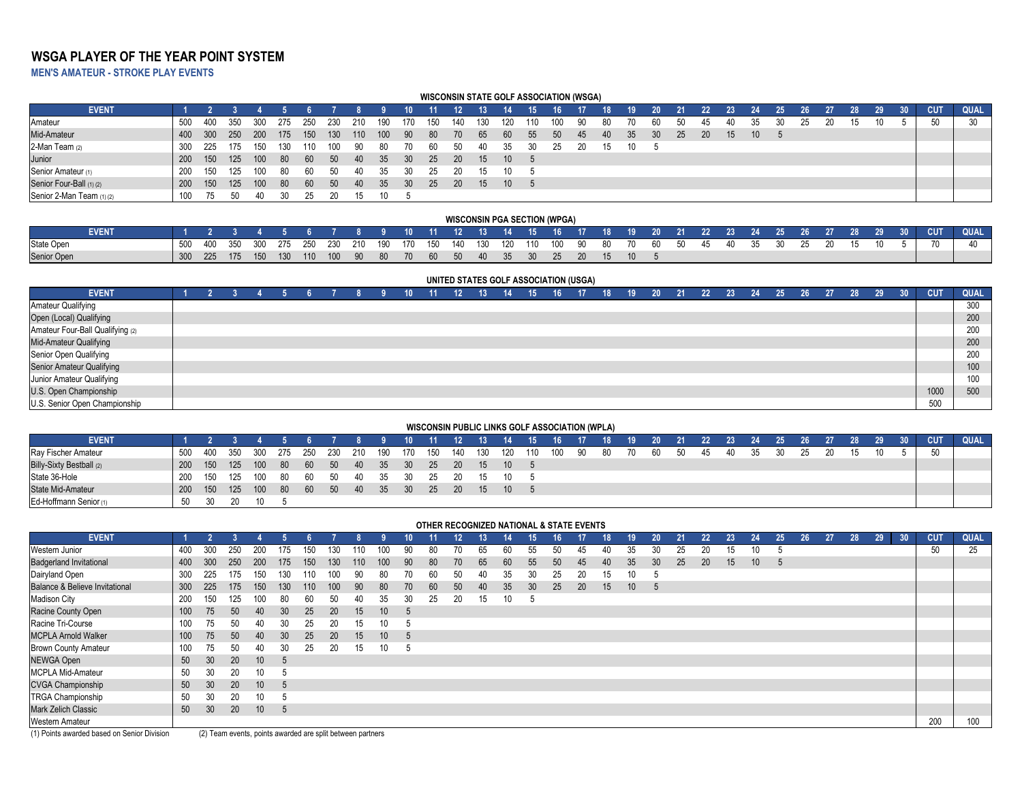# **WSGA PLAYER OF THE YEAR POINT SYSTEM**

**MEN'S AMATEUR - STROKE PLAY EVENTS**

|                           |       |       |     |     |      |      |       |      |      |      | <b>WISCONSIN STATE GOLF ASSOCIATION (WSGA)</b> |           |     |                 |     |                 |    |     |     |                 |     |     |    |                 |      |    |    |    |                 |    |            |      |
|---------------------------|-------|-------|-----|-----|------|------|-------|------|------|------|------------------------------------------------|-----------|-----|-----------------|-----|-----------------|----|-----|-----|-----------------|-----|-----|----|-----------------|------|----|----|----|-----------------|----|------------|------|
| <b>EVENT</b>              |       |       |     |     |      |      |       |      |      |      |                                                |           |     |                 |     |                 |    | 18. | 19. | 20 <sup>°</sup> |     |     | 23 | 24              | 25   | 26 |    | 28 | 29 <sub>1</sub> | 30 | <b>CUT</b> | QUAL |
| Amateur                   | 500   | - 400 | 350 | 300 | -275 | -250 | -230  | -210 | -190 | 170  | 150                                            | 140       | 130 |                 |     |                 |    |     |     | 60              | 5() | 45  | 40 |                 | 711. |    | 20 | 15 | 10              |    | 50         | 30   |
| Mid-Amateur               | -400  | 300   | 250 | 200 | 175  | 150  | - 130 | 110  | 100  | - 90 | - 80                                           | 70        | 65  | 60              | -55 | 50 <sup>°</sup> | 45 | 40  | 35  | - 30            | -25 | -20 | 15 | 10 <sup>°</sup> |      |    |    |    |                 |    |            |      |
| 2-Man Team (2)            | -300  | 225   | 175 | 150 | -130 | 110  |       |      | 80   |      | 60                                             | -50       | 40  | 35              |     | 25.             |    | 15  | 10  |                 |     |     |    |                 |      |    |    |    |                 |    |            |      |
| Junior                    | - 200 | 150   | 125 | 100 | - 80 | - 60 | 50    | - 40 | -35  | -30  | 25                                             | <b>20</b> | 15  | 10 <sup>°</sup> |     |                 |    |     |     |                 |     |     |    |                 |      |    |    |    |                 |    |            |      |
| Senior Amateur (1)        | 200   |       | 125 | 00  | -80  | 60   | 50.   | 40   | 35   |      | 25                                             |           |     | 10              |     |                 |    |     |     |                 |     |     |    |                 |      |    |    |    |                 |    |            |      |
| Senior Four-Ball (1) (2)  | - 200 | 150   | 125 | 100 | -80  | 60   | 50    | 40   | 35   | 30   | 25                                             | <b>20</b> | 15  | 10 <sup>°</sup> |     |                 |    |     |     |                 |     |     |    |                 |      |    |    |    |                 |    |            |      |
| Senior 2-Man Team (1) (2) | 100   |       |     |     |      |      |       |      |      |      |                                                |           |     |                 |     |                 |    |     |     |                 |     |     |    |                 |      |    |    |    |                 |    |            |      |

|                   |     |         |     |  |  |  |  |  | WISCONSIN PGA SECTION (WPGA)                                                          |  |  |  |  |  |    |      |    |                                                                            |            |             |
|-------------------|-----|---------|-----|--|--|--|--|--|---------------------------------------------------------------------------------------|--|--|--|--|--|----|------|----|----------------------------------------------------------------------------|------------|-------------|
| <b>EVENT</b>      |     |         |     |  |  |  |  |  |                                                                                       |  |  |  |  |  |    |      |    | 4 5 6 7 8 9 10 11 12 13 14 15 16 17 18 19 20 21 22 23 24 25 26 27 28 29 30 | <b>CUT</b> | <b>QUAL</b> |
| <b>State Open</b> | 500 | 400     |     |  |  |  |  |  | 350 300 275 250 230 210 190 170 150 140 130 120 110 100 90 80 70 60 50 45 40 35 30 25 |  |  |  |  |  | 20 | - 15 | 10 |                                                                            |            |             |
| Senior Open       |     | 300 225 | 175 |  |  |  |  |  | 150 130 110 100 90 80 70 60 50 40 35 30 25 20 15                                      |  |  |  |  |  |    |      |    |                                                                            |            |             |

### **UNITED STATES GOLF ASSOCIATION (USGA)**

| <b>EVENT</b>                     |  |  |  |  | 10. | 11 | 12 <sup>°</sup> | $13^{\circ}$ | 14 | 15 | 16 <sup>1</sup> | 17 <sup>2</sup> | .18 <sup>1</sup> | 19 | 20 <sub>2</sub> | 21 | $22 \overline{ }$ | 23 | 24 | 25 | 26 | 27 | 28 | 29 <sub>1</sub> | 30 <sup>°</sup> | <b>CUT</b> | QUAL |
|----------------------------------|--|--|--|--|-----|----|-----------------|--------------|----|----|-----------------|-----------------|------------------|----|-----------------|----|-------------------|----|----|----|----|----|----|-----------------|-----------------|------------|------|
| <b>Amateur Qualifying</b>        |  |  |  |  |     |    |                 |              |    |    |                 |                 |                  |    |                 |    |                   |    |    |    |    |    |    |                 |                 |            | 300  |
| Open (Local) Qualifying          |  |  |  |  |     |    |                 |              |    |    |                 |                 |                  |    |                 |    |                   |    |    |    |    |    |    |                 |                 |            | 200  |
| Amateur Four-Ball Qualifying (2) |  |  |  |  |     |    |                 |              |    |    |                 |                 |                  |    |                 |    |                   |    |    |    |    |    |    |                 |                 |            | 200  |
| Mid-Amateur Qualifying           |  |  |  |  |     |    |                 |              |    |    |                 |                 |                  |    |                 |    |                   |    |    |    |    |    |    |                 |                 |            | 200  |
| Senior Open Qualifying           |  |  |  |  |     |    |                 |              |    |    |                 |                 |                  |    |                 |    |                   |    |    |    |    |    |    |                 |                 |            | 200  |
| Senior Amateur Qualifying        |  |  |  |  |     |    |                 |              |    |    |                 |                 |                  |    |                 |    |                   |    |    |    |    |    |    |                 |                 |            | 100  |
| Junior Amateur Qualifying        |  |  |  |  |     |    |                 |              |    |    |                 |                 |                  |    |                 |    |                   |    |    |    |    |    |    |                 |                 |            | 100  |
| U.S. Open Championship           |  |  |  |  |     |    |                 |              |    |    |                 |                 |                  |    |                 |    |                   |    |    |    |    |    |    |                 |                 | 1000       | 500  |
| U.S. Senior Open Championship    |  |  |  |  |     |    |                 |              |    |    |                 |                 |                  |    |                 |    |                   |    |    |    |    |    |    |                 |                 | 500        |      |

### **WISCONSIN PUBLIC LINKS GOLF ASSOCIATION (WPLA)**

| <b>EVENT</b>             |      |     |     |                   |     |         |                            |         |      | $-10$           | $\sim$ 11 $\sim$ | - 12 | $-13$ | 14 15 16 17 18 |     |        |    | $\sqrt{19}$ | 20 <sup>°</sup> | 21   |     |    | $22$ $23$ $24$ $25$ |    | 26 |    | 27 28 29 30 | <b>CUT</b> | <b>QUAL</b> |
|--------------------------|------|-----|-----|-------------------|-----|---------|----------------------------|---------|------|-----------------|------------------|------|-------|----------------|-----|--------|----|-------------|-----------------|------|-----|----|---------------------|----|----|----|-------------|------------|-------------|
| Ray Fischer Amateur      | 500  | 400 | 350 | 300               | 275 | 250 230 |                            | 210 190 |      | 170             | 150              | 140  | 130   | 120            | 110 | 100 90 | 80 | 70          | - 60            | - 50 | -45 | 40 | -35                 | 30 | 25 | 15 | 10          |            |             |
| Billy-Sixty Bestball (2) | -200 |     |     |                   |     |         | 150 125 100 80 60 50 40 35 |         |      | - 30            | - 25             | 20   | 15    | 10 5           |     |        |    |             |                 |      |     |    |                     |    |    |    |             |            |             |
| State 36-Hole            | 200  | 150 | 125 | - 100             |     |         | 80 60 50 40                |         | - 35 | - 30            | 25               | - 20 | 15    |                |     |        |    |             |                 |      |     |    |                     |    |    |    |             |            |             |
| State Mid-Amateur        | 200  | 150 | 125 | $\sim$ 100 $\sim$ | 80  | - 60    | - 50                       | - 40    | - 35 | 30 <sup>°</sup> | - 25             | -20  | 15    | $10 \quad 5$   |     |        |    |             |                 |      |     |    |                     |    |    |    |             |            |             |
| Ed-Hoffmann Senior (1)   | .50  |     |     |                   |     |         |                            |         |      |                 |                  |      |       |                |     |        |    |             |                 |      |     |    |                     |    |    |    |             |            |             |

|                                           |                                                                                                                                                                 |                 |     |                 |     |     |     |     |                 |     | OTHER RECOGNIZED NATIONAL & STATE EVENTS |    |    |    |    |    |     |     |     |                 |    |    |    |                 |    |    |    |    |    |    |            |             |
|-------------------------------------------|-----------------------------------------------------------------------------------------------------------------------------------------------------------------|-----------------|-----|-----------------|-----|-----|-----|-----|-----------------|-----|------------------------------------------|----|----|----|----|----|-----|-----|-----|-----------------|----|----|----|-----------------|----|----|----|----|----|----|------------|-------------|
| <b>EVENT</b>                              |                                                                                                                                                                 |                 |     |                 |     |     |     |     |                 | 10  |                                          | 12 |    |    | 15 | 16 |     | 18  | 19  | 20 <sup>°</sup> | 21 | 22 | 23 | -24             | 25 | 26 | 27 | 28 | 29 | 30 | <b>CUT</b> | <b>QUAL</b> |
| Western Junior                            | 400                                                                                                                                                             | 300             | 250 | -200            | 175 | 150 | 130 |     | 100             | 90  | -80                                      |    | 65 |    | 55 |    | 45. |     | 35  | 30              | 25 | 20 | 15 | 10              |    |    |    |    |    |    | 50         | 25          |
| <b>Badgerland Invitational</b>            | 400                                                                                                                                                             | 300             | 250 | <b>200</b>      | 175 | 150 | 130 | 110 | 100             | 90  | -80                                      | 70 | 65 | 60 | 55 | 50 | 45  | -40 | -35 | 30              | 25 | 20 | 15 | 10 <sup>°</sup> | 5  |    |    |    |    |    |            |             |
| Dairyland Open                            | 300                                                                                                                                                             | 225             | 175 | 150             |     | 110 | 100 | 90  | 80              | 70. | -60                                      | 50 | 40 | 35 | 30 | 25 | 20  | 15  |     | - 5             |    |    |    |                 |    |    |    |    |    |    |            |             |
| <b>Balance &amp; Believe Invitational</b> | 300                                                                                                                                                             | 225             | 175 | 150             | 130 | 110 | 100 | -90 | 80              | 70  | 60                                       | 50 | 40 | 35 | 30 | 25 | 20  | 15  | 10  | - 5             |    |    |    |                 |    |    |    |    |    |    |            |             |
| <b>Madison City</b>                       | 35<br>25<br>20<br>200<br>.50<br>30<br>10<br>80<br>15<br>150<br>40<br>.60<br>125<br>Þ<br>20<br>25<br>10 <sup>°</sup><br>75<br>50<br>30<br>15<br>100<br>40<br>. 5 |                 |     |                 |     |     |     |     |                 |     |                                          |    |    |    |    |    |     |     |     |                 |    |    |    |                 |    |    |    |    |    |    |            |             |
| Racine County Open                        |                                                                                                                                                                 |                 |     |                 |     |     |     |     |                 |     |                                          |    |    |    |    |    |     |     |     |                 |    |    |    |                 |    |    |    |    |    |    |            |             |
| Racine Tri-Course                         | 30<br>20<br>100<br>15<br>25<br>$\sqrt{5}$                                                                                                                       |                 |     |                 |     |     |     |     |                 |     |                                          |    |    |    |    |    |     |     |     |                 |    |    |    |                 |    |    |    |    |    |    |            |             |
| <b>MCPLA Arnold Walker</b>                | 100                                                                                                                                                             | 75              | 50  | 40              | 30  | 25  | 20  | 15  | 10 <sup>°</sup> | -5  |                                          |    |    |    |    |    |     |     |     |                 |    |    |    |                 |    |    |    |    |    |    |            |             |
| <b>Brown County Amateur</b>               | 100                                                                                                                                                             | $\sqrt{5}$      | 50  | 40.             | 30  | 25  | 20  | 15  | 10              | -5  |                                          |    |    |    |    |    |     |     |     |                 |    |    |    |                 |    |    |    |    |    |    |            |             |
| <b>NEWGA Open</b>                         | 50                                                                                                                                                              | 30 <sup>°</sup> | 20  | 10 <sup>°</sup> | 5   |     |     |     |                 |     |                                          |    |    |    |    |    |     |     |     |                 |    |    |    |                 |    |    |    |    |    |    |            |             |
| <b>MCPLA Mid-Amateur</b>                  | 50                                                                                                                                                              | 30              | 20  | 10              |     |     |     |     |                 |     |                                          |    |    |    |    |    |     |     |     |                 |    |    |    |                 |    |    |    |    |    |    |            |             |
| <b>CVGA Championship</b>                  | 50                                                                                                                                                              | 30 <sup>°</sup> | 20  | 10 <sup>°</sup> | - 5 |     |     |     |                 |     |                                          |    |    |    |    |    |     |     |     |                 |    |    |    |                 |    |    |    |    |    |    |            |             |
| <b>TRGA Championship</b>                  | 50                                                                                                                                                              |                 | 20  | 10              |     |     |     |     |                 |     |                                          |    |    |    |    |    |     |     |     |                 |    |    |    |                 |    |    |    |    |    |    |            |             |
| <b>Mark Zelich Classic</b>                | 50                                                                                                                                                              | 30 <sup>°</sup> | 20  | 10              | - 5 |     |     |     |                 |     |                                          |    |    |    |    |    |     |     |     |                 |    |    |    |                 |    |    |    |    |    |    |            |             |
| Western Amateur<br>$\cdots$               |                                                                                                                                                                 |                 |     |                 |     |     |     |     |                 |     |                                          |    |    |    |    |    |     |     |     |                 |    |    |    |                 |    |    |    |    |    |    | 200        | 100         |

(1) Points awarded based on Senior Division (2) Team events, points awarded are split between partners